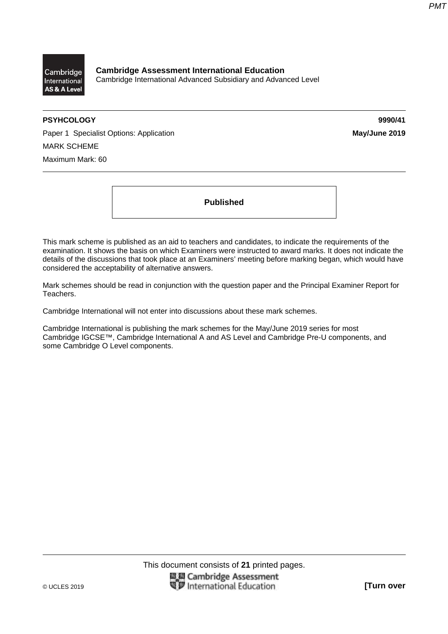

**Cambridge Assessment International Education**  Cambridge International Advanced Subsidiary and Advanced Level

# **PSYHCOLOGY 9990/41**

Paper 1 Specialist Options: Application **May/June 2019 May/June 2019** MARK SCHEME Maximum Mark: 60

**Published** 

This mark scheme is published as an aid to teachers and candidates, to indicate the requirements of the examination. It shows the basis on which Examiners were instructed to award marks. It does not indicate the details of the discussions that took place at an Examiners' meeting before marking began, which would have considered the acceptability of alternative answers.

Mark schemes should be read in conjunction with the question paper and the Principal Examiner Report for Teachers.

Cambridge International will not enter into discussions about these mark schemes.

Cambridge International is publishing the mark schemes for the May/June 2019 series for most Cambridge IGCSE™, Cambridge International A and AS Level and Cambridge Pre-U components, and some Cambridge O Level components.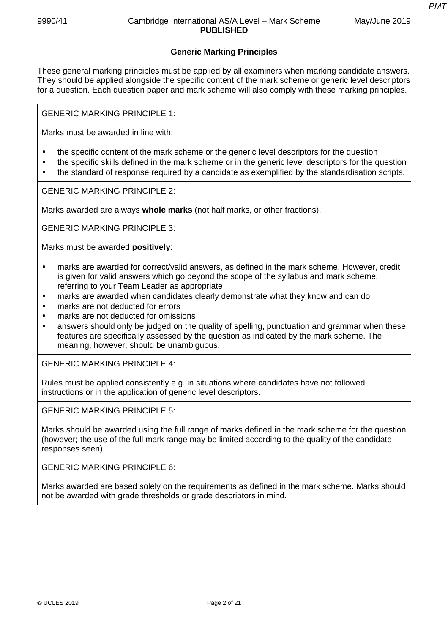# **Generic Marking Principles**

These general marking principles must be applied by all examiners when marking candidate answers. They should be applied alongside the specific content of the mark scheme or generic level descriptors for a question. Each question paper and mark scheme will also comply with these marking principles.

GENERIC MARKING PRINCIPLE 1:

Marks must be awarded in line with:

- the specific content of the mark scheme or the generic level descriptors for the question
- the specific skills defined in the mark scheme or in the generic level descriptors for the question
- the standard of response required by a candidate as exemplified by the standardisation scripts.

GENERIC MARKING PRINCIPLE 2:

Marks awarded are always **whole marks** (not half marks, or other fractions).

GENERIC MARKING PRINCIPLE 3:

Marks must be awarded **positively**:

- marks are awarded for correct/valid answers, as defined in the mark scheme. However, credit is given for valid answers which go beyond the scope of the syllabus and mark scheme, referring to your Team Leader as appropriate
- marks are awarded when candidates clearly demonstrate what they know and can do
- marks are not deducted for errors
- marks are not deducted for omissions
- answers should only be judged on the quality of spelling, punctuation and grammar when these features are specifically assessed by the question as indicated by the mark scheme. The meaning, however, should be unambiguous.

GENERIC MARKING PRINCIPLE 4:

Rules must be applied consistently e.g. in situations where candidates have not followed instructions or in the application of generic level descriptors.

GENERIC MARKING PRINCIPLE 5:

Marks should be awarded using the full range of marks defined in the mark scheme for the question (however; the use of the full mark range may be limited according to the quality of the candidate responses seen).

GENERIC MARKING PRINCIPLE 6:

Marks awarded are based solely on the requirements as defined in the mark scheme. Marks should not be awarded with grade thresholds or grade descriptors in mind.

*PMT*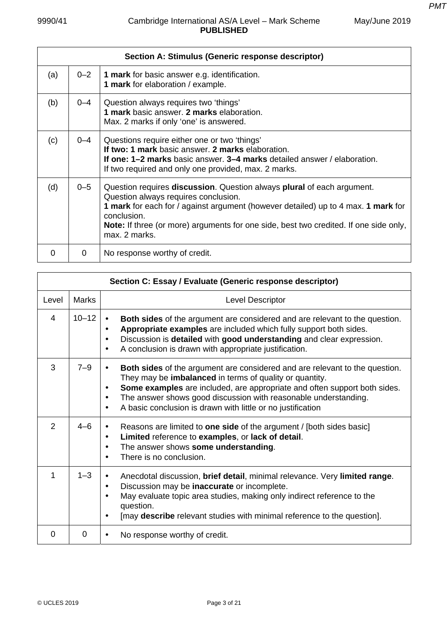*PMT*

|                   |          | Section A: Stimulus (Generic response descriptor)                                                                                                                                                                                                                                                                                   |
|-------------------|----------|-------------------------------------------------------------------------------------------------------------------------------------------------------------------------------------------------------------------------------------------------------------------------------------------------------------------------------------|
| (a)               | $0 - 2$  | <b>1 mark</b> for basic answer e.g. identification.<br>1 mark for elaboration / example.                                                                                                                                                                                                                                            |
| (b)               | $0 - 4$  | Question always requires two 'things'<br>1 mark basic answer. 2 marks elaboration.<br>Max. 2 marks if only 'one' is answered.                                                                                                                                                                                                       |
| (c)               | $0 - 4$  | Questions require either one or two 'things'<br>If two: 1 mark basic answer. 2 marks elaboration.<br><b>If one: 1–2 marks</b> basic answer. <b>3–4 marks</b> detailed answer / elaboration.<br>If two required and only one provided, max. 2 marks.                                                                                 |
| (d)               | $0 - 5$  | Question requires discussion. Question always plural of each argument.<br>Question always requires conclusion.<br>1 mark for each for / against argument (however detailed) up to 4 max. 1 mark for<br>conclusion.<br><b>Note:</b> If three (or more) arguments for one side, best two credited. If one side only,<br>max. 2 marks. |
| $\mathbf{\Omega}$ | $\Omega$ | No response worthy of credit.                                                                                                                                                                                                                                                                                                       |

|                | Section C: Essay / Evaluate (Generic response descriptor) |                                                                                                                                                                                                                                                                                                                                                                                                                  |  |  |
|----------------|-----------------------------------------------------------|------------------------------------------------------------------------------------------------------------------------------------------------------------------------------------------------------------------------------------------------------------------------------------------------------------------------------------------------------------------------------------------------------------------|--|--|
| Level          | <b>Marks</b>                                              | Level Descriptor                                                                                                                                                                                                                                                                                                                                                                                                 |  |  |
| 4              | $10 - 12$                                                 | <b>Both sides</b> of the argument are considered and are relevant to the question.<br>$\bullet$<br>Appropriate examples are included which fully support both sides.<br>$\bullet$<br>Discussion is detailed with good understanding and clear expression.<br>$\bullet$<br>A conclusion is drawn with appropriate justification.<br>$\bullet$                                                                     |  |  |
| 3              | $7 - 9$                                                   | <b>Both sides</b> of the argument are considered and are relevant to the question.<br>$\bullet$<br>They may be imbalanced in terms of quality or quantity.<br>Some examples are included, are appropriate and often support both sides.<br>$\bullet$<br>The answer shows good discussion with reasonable understanding.<br>$\bullet$<br>A basic conclusion is drawn with little or no justification<br>$\bullet$ |  |  |
| $\overline{2}$ | $4 - 6$                                                   | Reasons are limited to one side of the argument / [both sides basic]<br>$\bullet$<br>Limited reference to examples, or lack of detail.<br>$\bullet$<br>The answer shows some understanding.<br>$\bullet$<br>There is no conclusion.<br>$\bullet$                                                                                                                                                                 |  |  |
| 1              | $1 - 3$                                                   | Anecdotal discussion, brief detail, minimal relevance. Very limited range.<br>Discussion may be inaccurate or incomplete.<br>$\bullet$<br>May evaluate topic area studies, making only indirect reference to the<br>$\bullet$<br>question.<br>[may describe relevant studies with minimal reference to the question].<br>$\bullet$                                                                               |  |  |
| $\Omega$       | $\Omega$                                                  | No response worthy of credit.<br>$\bullet$                                                                                                                                                                                                                                                                                                                                                                       |  |  |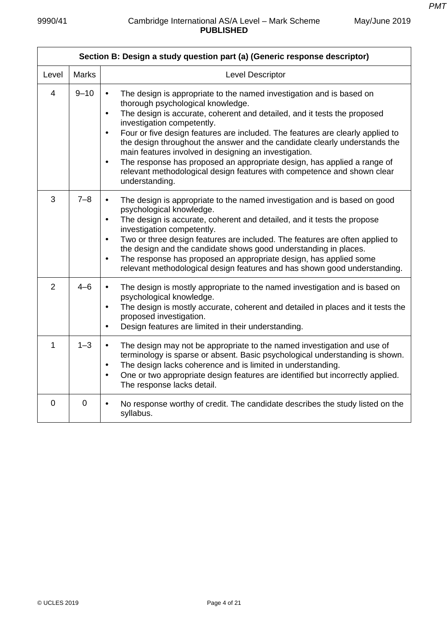|                | Section B: Design a study question part (a) (Generic response descriptor) |                                                                                                                                                                                                                                                                                                                                                                                                                                                                                                                                                                                                                                                                          |  |
|----------------|---------------------------------------------------------------------------|--------------------------------------------------------------------------------------------------------------------------------------------------------------------------------------------------------------------------------------------------------------------------------------------------------------------------------------------------------------------------------------------------------------------------------------------------------------------------------------------------------------------------------------------------------------------------------------------------------------------------------------------------------------------------|--|
| Level          | <b>Marks</b>                                                              | Level Descriptor                                                                                                                                                                                                                                                                                                                                                                                                                                                                                                                                                                                                                                                         |  |
| $\overline{4}$ | $9 - 10$                                                                  | The design is appropriate to the named investigation and is based on<br>$\bullet$<br>thorough psychological knowledge.<br>The design is accurate, coherent and detailed, and it tests the proposed<br>$\bullet$<br>investigation competently.<br>Four or five design features are included. The features are clearly applied to<br>$\bullet$<br>the design throughout the answer and the candidate clearly understands the<br>main features involved in designing an investigation.<br>The response has proposed an appropriate design, has applied a range of<br>$\bullet$<br>relevant methodological design features with competence and shown clear<br>understanding. |  |
| 3              | $7 - 8$                                                                   | The design is appropriate to the named investigation and is based on good<br>$\bullet$<br>psychological knowledge.<br>The design is accurate, coherent and detailed, and it tests the propose<br>$\bullet$<br>investigation competently.<br>Two or three design features are included. The features are often applied to<br>$\bullet$<br>the design and the candidate shows good understanding in places.<br>The response has proposed an appropriate design, has applied some<br>$\bullet$<br>relevant methodological design features and has shown good understanding.                                                                                                 |  |
| $\overline{2}$ | $4 - 6$                                                                   | The design is mostly appropriate to the named investigation and is based on<br>$\bullet$<br>psychological knowledge.<br>The design is mostly accurate, coherent and detailed in places and it tests the<br>$\bullet$<br>proposed investigation.<br>Design features are limited in their understanding.<br>$\bullet$                                                                                                                                                                                                                                                                                                                                                      |  |
| $\mathbf{1}$   | $1 - 3$                                                                   | The design may not be appropriate to the named investigation and use of<br>$\bullet$<br>terminology is sparse or absent. Basic psychological understanding is shown.<br>The design lacks coherence and is limited in understanding.<br>$\bullet$<br>One or two appropriate design features are identified but incorrectly applied.<br>$\bullet$<br>The response lacks detail.                                                                                                                                                                                                                                                                                            |  |
| $\overline{0}$ | $\overline{0}$                                                            | No response worthy of credit. The candidate describes the study listed on the<br>$\bullet$<br>syllabus.                                                                                                                                                                                                                                                                                                                                                                                                                                                                                                                                                                  |  |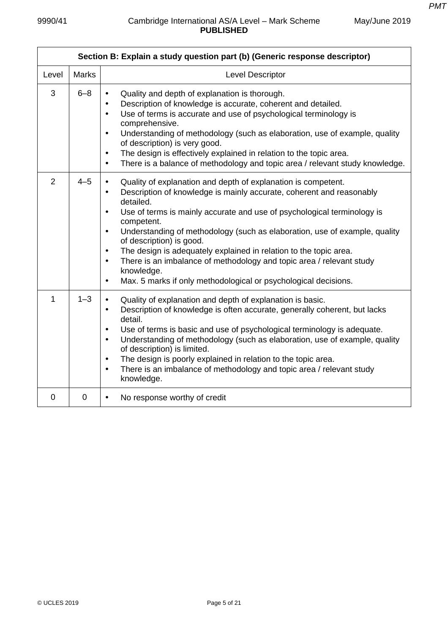|              | Section B: Explain a study question part (b) (Generic response descriptor) |                                                                                                                                                                                                                                                                                                                                                                                                                                                                                                                                                                                                                                                                                |  |
|--------------|----------------------------------------------------------------------------|--------------------------------------------------------------------------------------------------------------------------------------------------------------------------------------------------------------------------------------------------------------------------------------------------------------------------------------------------------------------------------------------------------------------------------------------------------------------------------------------------------------------------------------------------------------------------------------------------------------------------------------------------------------------------------|--|
| Level        | <b>Marks</b>                                                               | <b>Level Descriptor</b>                                                                                                                                                                                                                                                                                                                                                                                                                                                                                                                                                                                                                                                        |  |
| 3            | $6 - 8$                                                                    | Quality and depth of explanation is thorough.<br>$\bullet$<br>Description of knowledge is accurate, coherent and detailed.<br>$\bullet$<br>Use of terms is accurate and use of psychological terminology is<br>$\bullet$<br>comprehensive.<br>Understanding of methodology (such as elaboration, use of example, quality<br>$\bullet$<br>of description) is very good.<br>The design is effectively explained in relation to the topic area.<br>$\bullet$<br>There is a balance of methodology and topic area / relevant study knowledge.<br>$\bullet$                                                                                                                         |  |
| 2            | $4 - 5$                                                                    | Quality of explanation and depth of explanation is competent.<br>$\bullet$<br>Description of knowledge is mainly accurate, coherent and reasonably<br>$\bullet$<br>detailed.<br>Use of terms is mainly accurate and use of psychological terminology is<br>$\bullet$<br>competent.<br>Understanding of methodology (such as elaboration, use of example, quality<br>$\bullet$<br>of description) is good.<br>The design is adequately explained in relation to the topic area.<br>$\bullet$<br>There is an imbalance of methodology and topic area / relevant study<br>$\bullet$<br>knowledge.<br>Max. 5 marks if only methodological or psychological decisions.<br>$\bullet$ |  |
| $\mathbf{1}$ | $1 - 3$                                                                    | Quality of explanation and depth of explanation is basic.<br>$\bullet$<br>Description of knowledge is often accurate, generally coherent, but lacks<br>$\bullet$<br>detail.<br>Use of terms is basic and use of psychological terminology is adequate.<br>$\bullet$<br>Understanding of methodology (such as elaboration, use of example, quality<br>$\bullet$<br>of description) is limited.<br>The design is poorly explained in relation to the topic area.<br>$\bullet$<br>There is an imbalance of methodology and topic area / relevant study<br>$\bullet$<br>knowledge.                                                                                                 |  |
| $\mathbf 0$  | $\mathbf 0$                                                                | No response worthy of credit<br>$\bullet$                                                                                                                                                                                                                                                                                                                                                                                                                                                                                                                                                                                                                                      |  |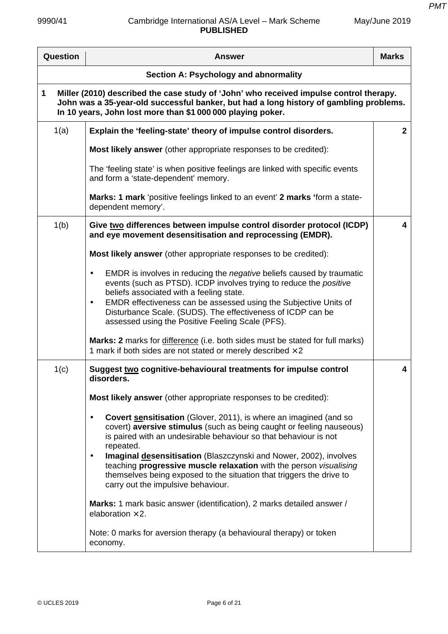| Question | <b>Answer</b>                                                                                                                                                                                                                                                                                | <b>Marks</b> |
|----------|----------------------------------------------------------------------------------------------------------------------------------------------------------------------------------------------------------------------------------------------------------------------------------------------|--------------|
|          | Section A: Psychology and abnormality                                                                                                                                                                                                                                                        |              |
| 1        | Miller (2010) described the case study of 'John' who received impulse control therapy.<br>John was a 35-year-old successful banker, but had a long history of gambling problems.<br>In 10 years, John lost more than \$1 000 000 playing poker.                                              |              |
| 1(a)     | Explain the 'feeling-state' theory of impulse control disorders.                                                                                                                                                                                                                             | $\mathbf{2}$ |
|          | Most likely answer (other appropriate responses to be credited):                                                                                                                                                                                                                             |              |
|          | The 'feeling state' is when positive feelings are linked with specific events<br>and form a 'state-dependent' memory.                                                                                                                                                                        |              |
|          | Marks: 1 mark 'positive feelings linked to an event' 2 marks 'form a state-<br>dependent memory'.                                                                                                                                                                                            |              |
| 1(b)     | Give two differences between impulse control disorder protocol (ICDP)<br>and eye movement desensitisation and reprocessing (EMDR).                                                                                                                                                           | 4            |
|          | Most likely answer (other appropriate responses to be credited):                                                                                                                                                                                                                             |              |
|          | EMDR is involves in reducing the <i>negative</i> beliefs caused by traumatic<br>$\bullet$<br>events (such as PTSD). ICDP involves trying to reduce the positive<br>beliefs associated with a feeling state.<br>EMDR effectiveness can be assessed using the Subjective Units of<br>$\bullet$ |              |
|          | Disturbance Scale. (SUDS). The effectiveness of ICDP can be<br>assessed using the Positive Feeling Scale (PFS).                                                                                                                                                                              |              |
|          | Marks: 2 marks for difference (i.e. both sides must be stated for full marks)<br>1 mark if both sides are not stated or merely described $\times$ 2                                                                                                                                          |              |
| 1(c)     | Suggest two cognitive-behavioural treatments for impulse control<br>disorders.                                                                                                                                                                                                               | 4            |
|          | Most likely answer (other appropriate responses to be credited):                                                                                                                                                                                                                             |              |
|          | <b>Covert sensitisation</b> (Glover, 2011), is where an imagined (and so<br>$\bullet$<br>covert) aversive stimulus (such as being caught or feeling nauseous)<br>is paired with an undesirable behaviour so that behaviour is not<br>repeated.                                               |              |
|          | Imaginal desensitisation (Blaszczynski and Nower, 2002), involves<br>$\bullet$<br>teaching progressive muscle relaxation with the person visualising<br>themselves being exposed to the situation that triggers the drive to<br>carry out the impulsive behaviour.                           |              |
|          | Marks: 1 mark basic answer (identification), 2 marks detailed answer /<br>elaboration $\times$ 2.                                                                                                                                                                                            |              |
|          | Note: 0 marks for aversion therapy (a behavioural therapy) or token<br>economy.                                                                                                                                                                                                              |              |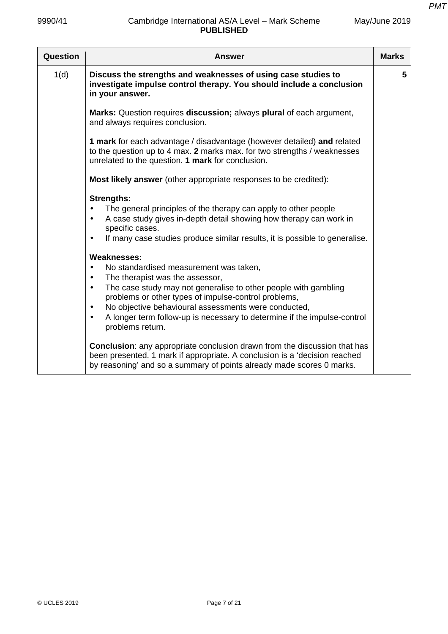| Question | <b>Answer</b>                                                                                                                                                                                                                                                                                                                                                                                                                                       | <b>Marks</b> |
|----------|-----------------------------------------------------------------------------------------------------------------------------------------------------------------------------------------------------------------------------------------------------------------------------------------------------------------------------------------------------------------------------------------------------------------------------------------------------|--------------|
| 1(d)     | Discuss the strengths and weaknesses of using case studies to<br>investigate impulse control therapy. You should include a conclusion<br>in your answer.                                                                                                                                                                                                                                                                                            | 5            |
|          | Marks: Question requires discussion; always plural of each argument,<br>and always requires conclusion.                                                                                                                                                                                                                                                                                                                                             |              |
|          | 1 mark for each advantage / disadvantage (however detailed) and related<br>to the question up to 4 max. 2 marks max. for two strengths / weaknesses<br>unrelated to the question. 1 mark for conclusion.                                                                                                                                                                                                                                            |              |
|          | Most likely answer (other appropriate responses to be credited):                                                                                                                                                                                                                                                                                                                                                                                    |              |
|          | <b>Strengths:</b><br>The general principles of the therapy can apply to other people<br>$\bullet$<br>A case study gives in-depth detail showing how therapy can work in<br>$\bullet$<br>specific cases.<br>If many case studies produce similar results, it is possible to generalise.<br>$\bullet$                                                                                                                                                 |              |
|          | <b>Weaknesses:</b><br>$\bullet$<br>No standardised measurement was taken,<br>The therapist was the assessor,<br>$\bullet$<br>The case study may not generalise to other people with gambling<br>$\bullet$<br>problems or other types of impulse-control problems,<br>No objective behavioural assessments were conducted,<br>$\bullet$<br>A longer term follow-up is necessary to determine if the impulse-control<br>$\bullet$<br>problems return. |              |
|          | <b>Conclusion:</b> any appropriate conclusion drawn from the discussion that has<br>been presented. 1 mark if appropriate. A conclusion is a 'decision reached<br>by reasoning' and so a summary of points already made scores 0 marks.                                                                                                                                                                                                             |              |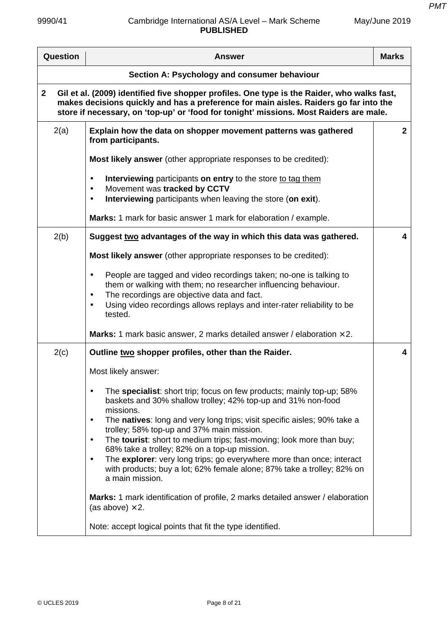| Question                                                                                                                                                                                                                                                                                       | <b>Answer</b>                                                                                                                                                                                                                                                                                                                                                                                                                                                                                                                                                                                                                                                                                                                       | <b>Marks</b>   |
|------------------------------------------------------------------------------------------------------------------------------------------------------------------------------------------------------------------------------------------------------------------------------------------------|-------------------------------------------------------------------------------------------------------------------------------------------------------------------------------------------------------------------------------------------------------------------------------------------------------------------------------------------------------------------------------------------------------------------------------------------------------------------------------------------------------------------------------------------------------------------------------------------------------------------------------------------------------------------------------------------------------------------------------------|----------------|
| Section A: Psychology and consumer behaviour                                                                                                                                                                                                                                                   |                                                                                                                                                                                                                                                                                                                                                                                                                                                                                                                                                                                                                                                                                                                                     |                |
| Gil et al. (2009) identified five shopper profiles. One type is the Raider, who walks fast,<br>$\mathbf{2}$<br>makes decisions quickly and has a preference for main aisles. Raiders go far into the<br>store if necessary, on 'top-up' or 'food for tonight' missions. Most Raiders are male. |                                                                                                                                                                                                                                                                                                                                                                                                                                                                                                                                                                                                                                                                                                                                     |                |
| 2(a)                                                                                                                                                                                                                                                                                           | Explain how the data on shopper movement patterns was gathered<br>from participants.                                                                                                                                                                                                                                                                                                                                                                                                                                                                                                                                                                                                                                                | $\overline{2}$ |
|                                                                                                                                                                                                                                                                                                | Most likely answer (other appropriate responses to be credited):                                                                                                                                                                                                                                                                                                                                                                                                                                                                                                                                                                                                                                                                    |                |
|                                                                                                                                                                                                                                                                                                | Interviewing participants on entry to the store to tag them<br>$\bullet$<br>Movement was tracked by CCTV<br>$\bullet$<br>Interviewing participants when leaving the store (on exit).<br>$\bullet$                                                                                                                                                                                                                                                                                                                                                                                                                                                                                                                                   |                |
|                                                                                                                                                                                                                                                                                                | Marks: 1 mark for basic answer 1 mark for elaboration / example.                                                                                                                                                                                                                                                                                                                                                                                                                                                                                                                                                                                                                                                                    |                |
| 2(b)                                                                                                                                                                                                                                                                                           | Suggest two advantages of the way in which this data was gathered.                                                                                                                                                                                                                                                                                                                                                                                                                                                                                                                                                                                                                                                                  | 4              |
|                                                                                                                                                                                                                                                                                                | <b>Most likely answer</b> (other appropriate responses to be credited):                                                                                                                                                                                                                                                                                                                                                                                                                                                                                                                                                                                                                                                             |                |
|                                                                                                                                                                                                                                                                                                | People are tagged and video recordings taken; no-one is talking to<br>$\bullet$<br>them or walking with them; no researcher influencing behaviour.<br>The recordings are objective data and fact.<br>$\bullet$<br>Using video recordings allows replays and inter-rater reliability to be<br>$\bullet$<br>tested.                                                                                                                                                                                                                                                                                                                                                                                                                   |                |
|                                                                                                                                                                                                                                                                                                | <b>Marks:</b> 1 mark basic answer, 2 marks detailed answer / elaboration $\times$ 2.                                                                                                                                                                                                                                                                                                                                                                                                                                                                                                                                                                                                                                                |                |
| 2(c)                                                                                                                                                                                                                                                                                           | Outline two shopper profiles, other than the Raider.                                                                                                                                                                                                                                                                                                                                                                                                                                                                                                                                                                                                                                                                                | 4              |
|                                                                                                                                                                                                                                                                                                | Most likely answer:                                                                                                                                                                                                                                                                                                                                                                                                                                                                                                                                                                                                                                                                                                                 |                |
|                                                                                                                                                                                                                                                                                                | The specialist: short trip; focus on few products; mainly top-up; 58%<br>baskets and 30% shallow trolley; 42% top-up and 31% non-food<br>missions.<br>The natives: long and very long trips; visit specific aisles; 90% take a<br>$\bullet$<br>trolley; 58% top-up and 37% main mission.<br>The tourist: short to medium trips; fast-moving; look more than buy;<br>$\bullet$<br>68% take a trolley; 82% on a top-up mission.<br>The explorer: very long trips; go everywhere more than once; interact<br>$\bullet$<br>with products; buy a lot; 62% female alone; 87% take a trolley; 82% on<br>a main mission.<br><b>Marks:</b> 1 mark identification of profile, 2 marks detailed answer / elaboration<br>(as above) $\times$ 2. |                |
|                                                                                                                                                                                                                                                                                                |                                                                                                                                                                                                                                                                                                                                                                                                                                                                                                                                                                                                                                                                                                                                     |                |
|                                                                                                                                                                                                                                                                                                | Note: accept logical points that fit the type identified.                                                                                                                                                                                                                                                                                                                                                                                                                                                                                                                                                                                                                                                                           |                |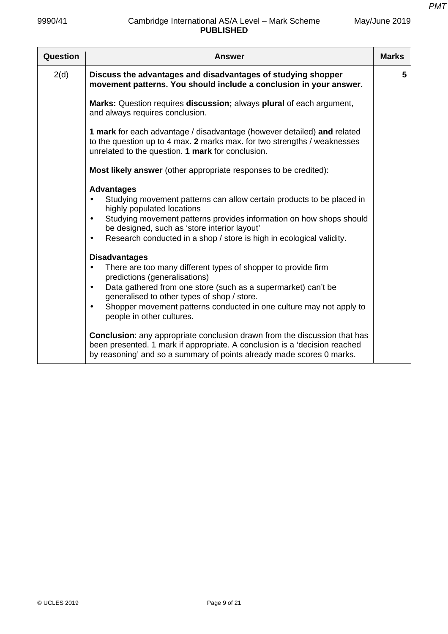| Question | Answer                                                                                                                                                                                                                                                                                                                                                  | <b>Marks</b> |
|----------|---------------------------------------------------------------------------------------------------------------------------------------------------------------------------------------------------------------------------------------------------------------------------------------------------------------------------------------------------------|--------------|
| 2(d)     | Discuss the advantages and disadvantages of studying shopper<br>movement patterns. You should include a conclusion in your answer.                                                                                                                                                                                                                      | 5            |
|          | Marks: Question requires discussion; always plural of each argument,<br>and always requires conclusion.                                                                                                                                                                                                                                                 |              |
|          | 1 mark for each advantage / disadvantage (however detailed) and related<br>to the question up to 4 max. 2 marks max. for two strengths / weaknesses<br>unrelated to the question. 1 mark for conclusion.                                                                                                                                                |              |
|          | Most likely answer (other appropriate responses to be credited):                                                                                                                                                                                                                                                                                        |              |
|          | <b>Advantages</b><br>Studying movement patterns can allow certain products to be placed in<br>highly populated locations<br>Studying movement patterns provides information on how shops should<br>$\bullet$<br>be designed, such as 'store interior layout'<br>Research conducted in a shop / store is high in ecological validity.                    |              |
|          | <b>Disadvantages</b><br>There are too many different types of shopper to provide firm<br>predictions (generalisations)<br>Data gathered from one store (such as a supermarket) can't be<br>generalised to other types of shop / store.<br>Shopper movement patterns conducted in one culture may not apply to<br>$\bullet$<br>people in other cultures. |              |
|          | <b>Conclusion:</b> any appropriate conclusion drawn from the discussion that has<br>been presented. 1 mark if appropriate. A conclusion is a 'decision reached<br>by reasoning' and so a summary of points already made scores 0 marks.                                                                                                                 |              |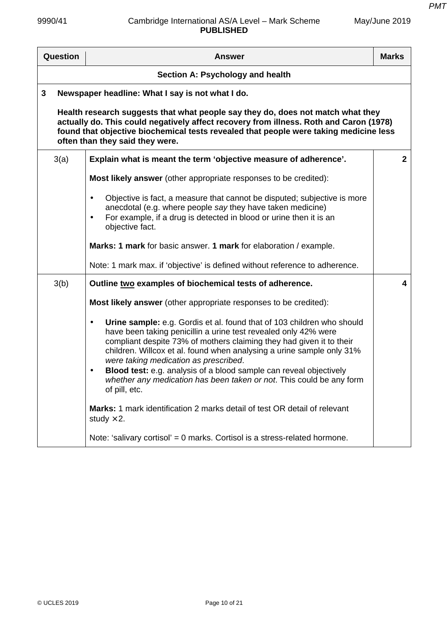| Question                                                                                                                                                                                                                                                                                              | <b>Answer</b>                                                                                                                                                                                                                                                                                                                                                                                                                                                                                                                | <b>Marks</b> |
|-------------------------------------------------------------------------------------------------------------------------------------------------------------------------------------------------------------------------------------------------------------------------------------------------------|------------------------------------------------------------------------------------------------------------------------------------------------------------------------------------------------------------------------------------------------------------------------------------------------------------------------------------------------------------------------------------------------------------------------------------------------------------------------------------------------------------------------------|--------------|
|                                                                                                                                                                                                                                                                                                       | Section A: Psychology and health                                                                                                                                                                                                                                                                                                                                                                                                                                                                                             |              |
| 3                                                                                                                                                                                                                                                                                                     | Newspaper headline: What I say is not what I do.                                                                                                                                                                                                                                                                                                                                                                                                                                                                             |              |
| Health research suggests that what people say they do, does not match what they<br>actually do. This could negatively affect recovery from illness. Roth and Caron (1978)<br>found that objective biochemical tests revealed that people were taking medicine less<br>often than they said they were. |                                                                                                                                                                                                                                                                                                                                                                                                                                                                                                                              |              |
| 3(a)                                                                                                                                                                                                                                                                                                  | Explain what is meant the term 'objective measure of adherence'.                                                                                                                                                                                                                                                                                                                                                                                                                                                             | $\mathbf{2}$ |
|                                                                                                                                                                                                                                                                                                       | <b>Most likely answer</b> (other appropriate responses to be credited):                                                                                                                                                                                                                                                                                                                                                                                                                                                      |              |
|                                                                                                                                                                                                                                                                                                       | Objective is fact, a measure that cannot be disputed; subjective is more<br>$\bullet$<br>anecdotal (e.g. where people say they have taken medicine)<br>For example, if a drug is detected in blood or urine then it is an<br>$\bullet$<br>objective fact.                                                                                                                                                                                                                                                                    |              |
|                                                                                                                                                                                                                                                                                                       | Marks: 1 mark for basic answer. 1 mark for elaboration / example.                                                                                                                                                                                                                                                                                                                                                                                                                                                            |              |
|                                                                                                                                                                                                                                                                                                       | Note: 1 mark max. if 'objective' is defined without reference to adherence.                                                                                                                                                                                                                                                                                                                                                                                                                                                  |              |
| 3(b)                                                                                                                                                                                                                                                                                                  | Outline two examples of biochemical tests of adherence.                                                                                                                                                                                                                                                                                                                                                                                                                                                                      | 4            |
|                                                                                                                                                                                                                                                                                                       | <b>Most likely answer</b> (other appropriate responses to be credited):                                                                                                                                                                                                                                                                                                                                                                                                                                                      |              |
|                                                                                                                                                                                                                                                                                                       | Urine sample: e.g. Gordis et al. found that of 103 children who should<br>$\bullet$<br>have been taking penicillin a urine test revealed only 42% were<br>compliant despite 73% of mothers claiming they had given it to their<br>children. Willcox et al. found when analysing a urine sample only 31%<br>were taking medication as prescribed.<br>Blood test: e.g. analysis of a blood sample can reveal objectively<br>$\bullet$<br>whether any medication has been taken or not. This could be any form<br>of pill, etc. |              |
|                                                                                                                                                                                                                                                                                                       | <b>Marks:</b> 1 mark identification 2 marks detail of test OR detail of relevant<br>study $\times$ 2.                                                                                                                                                                                                                                                                                                                                                                                                                        |              |
|                                                                                                                                                                                                                                                                                                       | Note: 'salivary cortisol' = 0 marks. Cortisol is a stress-related hormone.                                                                                                                                                                                                                                                                                                                                                                                                                                                   |              |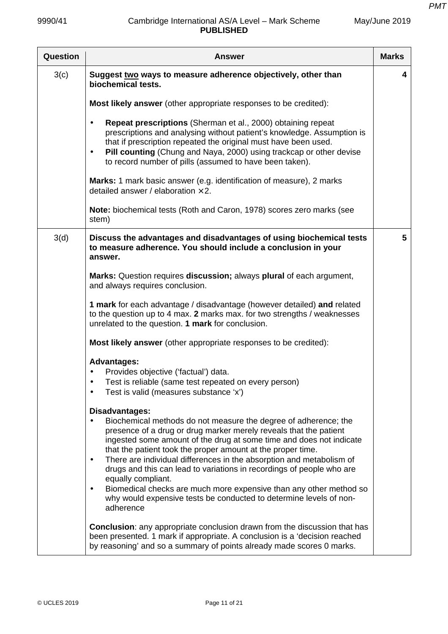| Question | <b>Answer</b>                                                                                                                                                                                                                                                                                                                                                                                                                                                                                                                                                                                                                                          | <b>Marks</b> |
|----------|--------------------------------------------------------------------------------------------------------------------------------------------------------------------------------------------------------------------------------------------------------------------------------------------------------------------------------------------------------------------------------------------------------------------------------------------------------------------------------------------------------------------------------------------------------------------------------------------------------------------------------------------------------|--------------|
| 3(c)     | Suggest two ways to measure adherence objectively, other than<br>biochemical tests.                                                                                                                                                                                                                                                                                                                                                                                                                                                                                                                                                                    | 4            |
|          | <b>Most likely answer</b> (other appropriate responses to be credited):                                                                                                                                                                                                                                                                                                                                                                                                                                                                                                                                                                                |              |
|          | Repeat prescriptions (Sherman et al., 2000) obtaining repeat<br>$\bullet$<br>prescriptions and analysing without patient's knowledge. Assumption is<br>that if prescription repeated the original must have been used.<br>Pill counting (Chung and Naya, 2000) using trackcap or other devise<br>$\bullet$<br>to record number of pills (assumed to have been taken).                                                                                                                                                                                                                                                                                  |              |
|          | Marks: 1 mark basic answer (e.g. identification of measure), 2 marks<br>detailed answer / elaboration $\times$ 2.                                                                                                                                                                                                                                                                                                                                                                                                                                                                                                                                      |              |
|          | Note: biochemical tests (Roth and Caron, 1978) scores zero marks (see<br>stem)                                                                                                                                                                                                                                                                                                                                                                                                                                                                                                                                                                         |              |
| 3(d)     | Discuss the advantages and disadvantages of using biochemical tests<br>to measure adherence. You should include a conclusion in your<br>answer.                                                                                                                                                                                                                                                                                                                                                                                                                                                                                                        | 5            |
|          | Marks: Question requires discussion; always plural of each argument,<br>and always requires conclusion.                                                                                                                                                                                                                                                                                                                                                                                                                                                                                                                                                |              |
|          | 1 mark for each advantage / disadvantage (however detailed) and related<br>to the question up to 4 max. 2 marks max. for two strengths / weaknesses<br>unrelated to the question. 1 mark for conclusion.                                                                                                                                                                                                                                                                                                                                                                                                                                               |              |
|          | Most likely answer (other appropriate responses to be credited):                                                                                                                                                                                                                                                                                                                                                                                                                                                                                                                                                                                       |              |
|          | <b>Advantages:</b><br>Provides objective ('factual') data.<br>Test is reliable (same test repeated on every person)<br>Test is valid (measures substance 'x')<br>$\bullet$                                                                                                                                                                                                                                                                                                                                                                                                                                                                             |              |
|          | Disadvantages:<br>Biochemical methods do not measure the degree of adherence; the<br>presence of a drug or drug marker merely reveals that the patient<br>ingested some amount of the drug at some time and does not indicate<br>that the patient took the proper amount at the proper time.<br>There are individual differences in the absorption and metabolism of<br>$\bullet$<br>drugs and this can lead to variations in recordings of people who are<br>equally compliant.<br>Biomedical checks are much more expensive than any other method so<br>$\bullet$<br>why would expensive tests be conducted to determine levels of non-<br>adherence |              |
|          | <b>Conclusion:</b> any appropriate conclusion drawn from the discussion that has<br>been presented. 1 mark if appropriate. A conclusion is a 'decision reached<br>by reasoning' and so a summary of points already made scores 0 marks.                                                                                                                                                                                                                                                                                                                                                                                                                |              |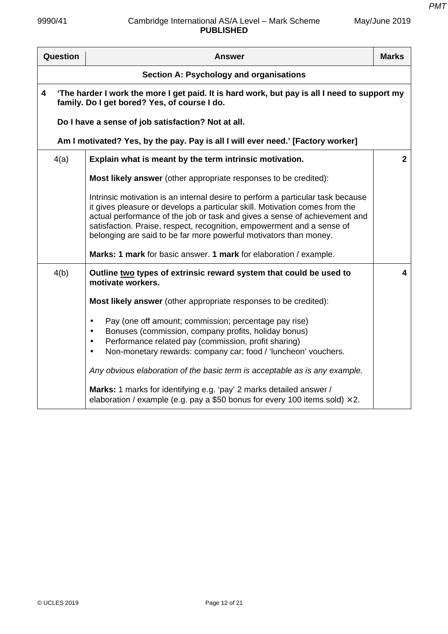*PMT*

| Question                                                                                                                                          | <b>Answer</b>                                                                                                                                                                                                                                                                                                                                                                                                                                                    | <b>Marks</b>            |
|---------------------------------------------------------------------------------------------------------------------------------------------------|------------------------------------------------------------------------------------------------------------------------------------------------------------------------------------------------------------------------------------------------------------------------------------------------------------------------------------------------------------------------------------------------------------------------------------------------------------------|-------------------------|
| Section A: Psychology and organisations                                                                                                           |                                                                                                                                                                                                                                                                                                                                                                                                                                                                  |                         |
| 'The harder I work the more I get paid. It is hard work, but pay is all I need to support my<br>4<br>family. Do I get bored? Yes, of course I do. |                                                                                                                                                                                                                                                                                                                                                                                                                                                                  |                         |
|                                                                                                                                                   | Do I have a sense of job satisfaction? Not at all.                                                                                                                                                                                                                                                                                                                                                                                                               |                         |
|                                                                                                                                                   | Am I motivated? Yes, by the pay. Pay is all I will ever need.' [Factory worker]                                                                                                                                                                                                                                                                                                                                                                                  |                         |
| 4(a)                                                                                                                                              | Explain what is meant by the term intrinsic motivation.                                                                                                                                                                                                                                                                                                                                                                                                          | $\mathbf{2}$            |
|                                                                                                                                                   | <b>Most likely answer</b> (other appropriate responses to be credited):                                                                                                                                                                                                                                                                                                                                                                                          |                         |
|                                                                                                                                                   | Intrinsic motivation is an internal desire to perform a particular task because<br>it gives pleasure or develops a particular skill. Motivation comes from the<br>actual performance of the job or task and gives a sense of achievement and<br>satisfaction. Praise, respect, recognition, empowerment and a sense of<br>belonging are said to be far more powerful motivators than money.<br>Marks: 1 mark for basic answer. 1 mark for elaboration / example. |                         |
| 4(b)                                                                                                                                              | Outline two types of extrinsic reward system that could be used to<br>motivate workers.                                                                                                                                                                                                                                                                                                                                                                          | $\overline{\mathbf{4}}$ |
|                                                                                                                                                   | Most likely answer (other appropriate responses to be credited):                                                                                                                                                                                                                                                                                                                                                                                                 |                         |
|                                                                                                                                                   | Pay (one off amount; commission; percentage pay rise)<br>$\bullet$<br>Bonuses (commission, company profits, holiday bonus)<br>Performance related pay (commission, profit sharing)<br>$\bullet$<br>Non-monetary rewards: company car; food / 'luncheon' vouchers.<br>$\bullet$<br>Any obvious elaboration of the basic term is acceptable as is any example.                                                                                                     |                         |
|                                                                                                                                                   | Marks: 1 marks for identifying e.g. 'pay' 2 marks detailed answer /<br>elaboration / example (e.g. pay a \$50 bonus for every 100 items sold) $\times$ 2.                                                                                                                                                                                                                                                                                                        |                         |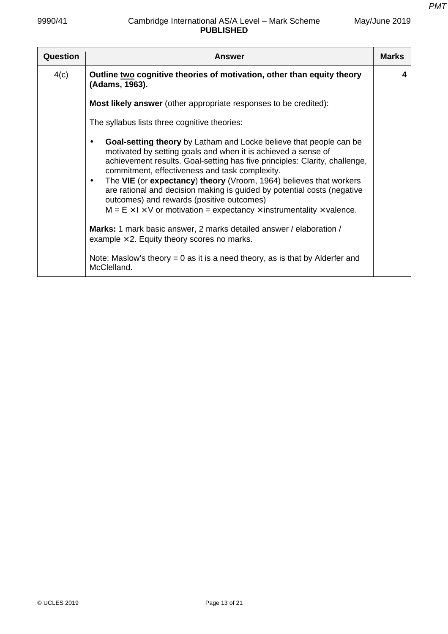# 9990/41 Cambridge International AS/A Level – Mark Scheme **PUBLISHED**

| Question | <b>Answer</b>                                                                                                                                                                                                                                                                                                                                                                                                                                                                                                                                                                            | <b>Marks</b> |
|----------|------------------------------------------------------------------------------------------------------------------------------------------------------------------------------------------------------------------------------------------------------------------------------------------------------------------------------------------------------------------------------------------------------------------------------------------------------------------------------------------------------------------------------------------------------------------------------------------|--------------|
| 4(c)     | Outline two cognitive theories of motivation, other than equity theory<br>(Adams, 1963).                                                                                                                                                                                                                                                                                                                                                                                                                                                                                                 | 4            |
|          | <b>Most likely answer</b> (other appropriate responses to be credited):                                                                                                                                                                                                                                                                                                                                                                                                                                                                                                                  |              |
|          | The syllabus lists three cognitive theories:                                                                                                                                                                                                                                                                                                                                                                                                                                                                                                                                             |              |
|          | <b>Goal-setting theory</b> by Latham and Locke believe that people can be<br>motivated by setting goals and when it is achieved a sense of<br>achievement results. Goal-setting has five principles: Clarity, challenge,<br>commitment, effectiveness and task complexity.<br>The VIE (or expectancy) theory (Vroom, 1964) believes that workers<br>$\bullet$<br>are rational and decision making is guided by potential costs (negative<br>outcomes) and rewards (positive outcomes)<br>$M = E \times I \times V$ or motivation = expectancy $\times$ instrumentality $\times$ valence. |              |
|          | Marks: 1 mark basic answer, 2 marks detailed answer / elaboration /<br>example $\times$ 2. Equity theory scores no marks.                                                                                                                                                                                                                                                                                                                                                                                                                                                                |              |
|          | Note: Maslow's theory $= 0$ as it is a need theory, as is that by Alderfer and<br>McClelland.                                                                                                                                                                                                                                                                                                                                                                                                                                                                                            |              |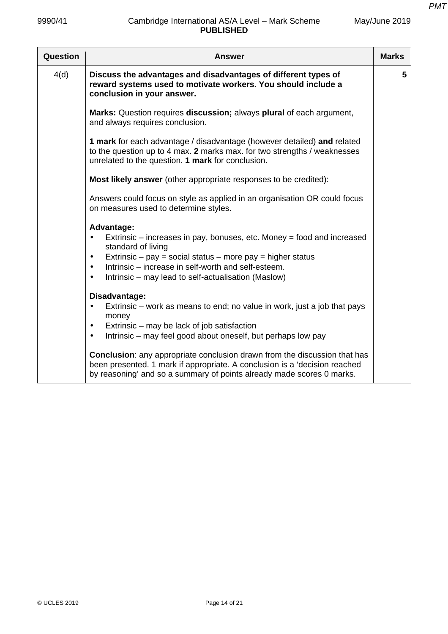| Question | <b>Answer</b>                                                                                                                                                                                                                                                                                                                              | <b>Marks</b> |
|----------|--------------------------------------------------------------------------------------------------------------------------------------------------------------------------------------------------------------------------------------------------------------------------------------------------------------------------------------------|--------------|
| 4(d)     | Discuss the advantages and disadvantages of different types of<br>reward systems used to motivate workers. You should include a<br>conclusion in your answer.                                                                                                                                                                              | 5            |
|          | Marks: Question requires discussion; always plural of each argument,<br>and always requires conclusion.                                                                                                                                                                                                                                    |              |
|          | 1 mark for each advantage / disadvantage (however detailed) and related<br>to the question up to 4 max. 2 marks max. for two strengths / weaknesses<br>unrelated to the question. 1 mark for conclusion.                                                                                                                                   |              |
|          | Most likely answer (other appropriate responses to be credited):                                                                                                                                                                                                                                                                           |              |
|          | Answers could focus on style as applied in an organisation OR could focus<br>on measures used to determine styles.                                                                                                                                                                                                                         |              |
|          | Advantage:<br>Extrinsic – increases in pay, bonuses, etc. Money = food and increased<br>$\bullet$<br>standard of living<br>Extrinsic – pay = social status – more pay = higher status<br>$\bullet$<br>Intrinsic – increase in self-worth and self-esteem.<br>$\bullet$<br>Intrinsic – may lead to self-actualisation (Maslow)<br>$\bullet$ |              |
|          | Disadvantage:<br>Extrinsic – work as means to end; no value in work, just a job that pays<br>$\bullet$<br>money<br>Extrinsic – may be lack of job satisfaction<br>$\bullet$<br>Intrinsic – may feel good about oneself, but perhaps low pay<br>$\bullet$                                                                                   |              |
|          | Conclusion: any appropriate conclusion drawn from the discussion that has<br>been presented. 1 mark if appropriate. A conclusion is a 'decision reached<br>by reasoning' and so a summary of points already made scores 0 marks.                                                                                                           |              |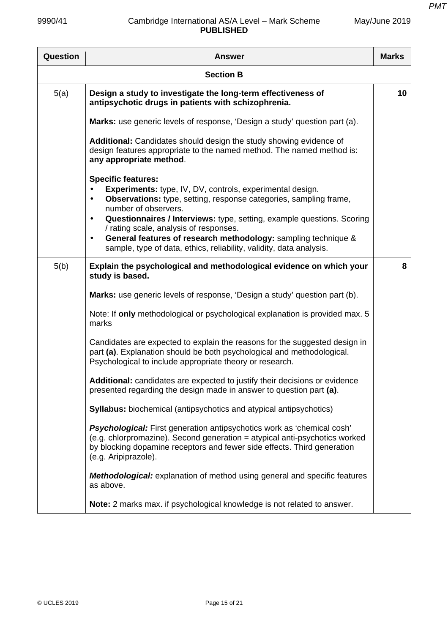| Question | <b>Answer</b>                                                                                                                                                                                                                                                                                                                                                                                                                                                                                         | <b>Marks</b> |
|----------|-------------------------------------------------------------------------------------------------------------------------------------------------------------------------------------------------------------------------------------------------------------------------------------------------------------------------------------------------------------------------------------------------------------------------------------------------------------------------------------------------------|--------------|
|          | <b>Section B</b>                                                                                                                                                                                                                                                                                                                                                                                                                                                                                      |              |
| 5(a)     | Design a study to investigate the long-term effectiveness of<br>antipsychotic drugs in patients with schizophrenia.                                                                                                                                                                                                                                                                                                                                                                                   | 10           |
|          | Marks: use generic levels of response, 'Design a study' question part (a).                                                                                                                                                                                                                                                                                                                                                                                                                            |              |
|          | Additional: Candidates should design the study showing evidence of<br>design features appropriate to the named method. The named method is:<br>any appropriate method.                                                                                                                                                                                                                                                                                                                                |              |
|          | <b>Specific features:</b><br><b>Experiments:</b> type, IV, DV, controls, experimental design.<br><b>Observations:</b> type, setting, response categories, sampling frame,<br>$\bullet$<br>number of observers.<br>Questionnaires / Interviews: type, setting, example questions. Scoring<br>$\bullet$<br>/ rating scale, analysis of responses.<br>General features of research methodology: sampling technique &<br>$\bullet$<br>sample, type of data, ethics, reliability, validity, data analysis. |              |
| 5(b)     | Explain the psychological and methodological evidence on which your<br>study is based.                                                                                                                                                                                                                                                                                                                                                                                                                | 8            |
|          | Marks: use generic levels of response, 'Design a study' question part (b).                                                                                                                                                                                                                                                                                                                                                                                                                            |              |
|          | Note: If only methodological or psychological explanation is provided max. 5<br>marks                                                                                                                                                                                                                                                                                                                                                                                                                 |              |
|          | Candidates are expected to explain the reasons for the suggested design in<br>part (a). Explanation should be both psychological and methodological.<br>Psychological to include appropriate theory or research.                                                                                                                                                                                                                                                                                      |              |
|          | Additional: candidates are expected to justify their decisions or evidence<br>presented regarding the design made in answer to question part (a).                                                                                                                                                                                                                                                                                                                                                     |              |
|          | <b>Syllabus:</b> biochemical (antipsychotics and atypical antipsychotics)                                                                                                                                                                                                                                                                                                                                                                                                                             |              |
|          | <b>Psychological:</b> First generation antipsychotics work as 'chemical cosh'<br>(e.g. chlorpromazine). Second generation = atypical anti-psychotics worked<br>by blocking dopamine receptors and fewer side effects. Third generation<br>(e.g. Aripiprazole).                                                                                                                                                                                                                                        |              |
|          | <b>Methodological:</b> explanation of method using general and specific features<br>as above.                                                                                                                                                                                                                                                                                                                                                                                                         |              |
|          | Note: 2 marks max. if psychological knowledge is not related to answer.                                                                                                                                                                                                                                                                                                                                                                                                                               |              |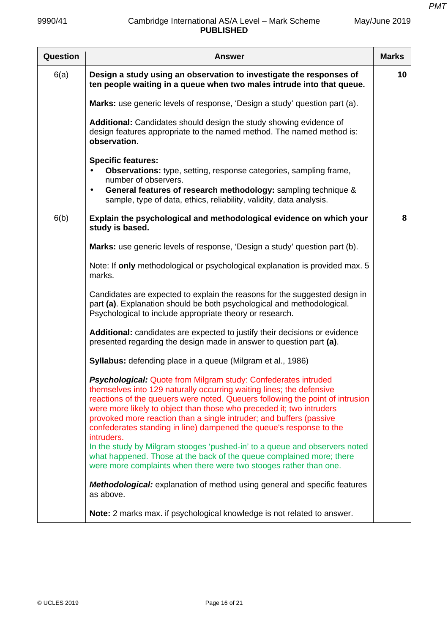| Question | <b>Answer</b>                                                                                                                                                                                                                                                                                                                                                                                                                                                      | <b>Marks</b> |
|----------|--------------------------------------------------------------------------------------------------------------------------------------------------------------------------------------------------------------------------------------------------------------------------------------------------------------------------------------------------------------------------------------------------------------------------------------------------------------------|--------------|
| 6(a)     | Design a study using an observation to investigate the responses of<br>ten people waiting in a queue when two males intrude into that queue.                                                                                                                                                                                                                                                                                                                       | 10           |
|          | Marks: use generic levels of response, 'Design a study' question part (a).                                                                                                                                                                                                                                                                                                                                                                                         |              |
|          | Additional: Candidates should design the study showing evidence of<br>design features appropriate to the named method. The named method is:<br>observation.                                                                                                                                                                                                                                                                                                        |              |
|          | <b>Specific features:</b><br>Observations: type, setting, response categories, sampling frame,<br>number of observers.<br>General features of research methodology: sampling technique &<br>$\bullet$<br>sample, type of data, ethics, reliability, validity, data analysis.                                                                                                                                                                                       |              |
| 6(b)     | Explain the psychological and methodological evidence on which your<br>study is based.                                                                                                                                                                                                                                                                                                                                                                             | 8            |
|          | Marks: use generic levels of response, 'Design a study' question part (b).                                                                                                                                                                                                                                                                                                                                                                                         |              |
|          | Note: If only methodological or psychological explanation is provided max. 5<br>marks.                                                                                                                                                                                                                                                                                                                                                                             |              |
|          | Candidates are expected to explain the reasons for the suggested design in<br>part (a). Explanation should be both psychological and methodological.<br>Psychological to include appropriate theory or research.                                                                                                                                                                                                                                                   |              |
|          | Additional: candidates are expected to justify their decisions or evidence<br>presented regarding the design made in answer to question part (a).                                                                                                                                                                                                                                                                                                                  |              |
|          | <b>Syllabus:</b> defending place in a queue (Milgram et al., 1986)                                                                                                                                                                                                                                                                                                                                                                                                 |              |
|          | <b>Psychological:</b> Quote from Milgram study: Confederates intruded<br>themselves into 129 naturally occurring waiting lines; the defensive<br>reactions of the queuers were noted. Queuers following the point of intrusion<br>were more likely to object than those who preceded it; two intruders<br>provoked more reaction than a single intruder; and buffers (passive<br>confederates standing in line) dampened the queue's response to the<br>intruders. |              |
|          | In the study by Milgram stooges 'pushed-in' to a queue and observers noted<br>what happened. Those at the back of the queue complained more; there<br>were more complaints when there were two stooges rather than one.                                                                                                                                                                                                                                            |              |
|          | <b>Methodological:</b> explanation of method using general and specific features<br>as above.                                                                                                                                                                                                                                                                                                                                                                      |              |
|          | Note: 2 marks max. if psychological knowledge is not related to answer.                                                                                                                                                                                                                                                                                                                                                                                            |              |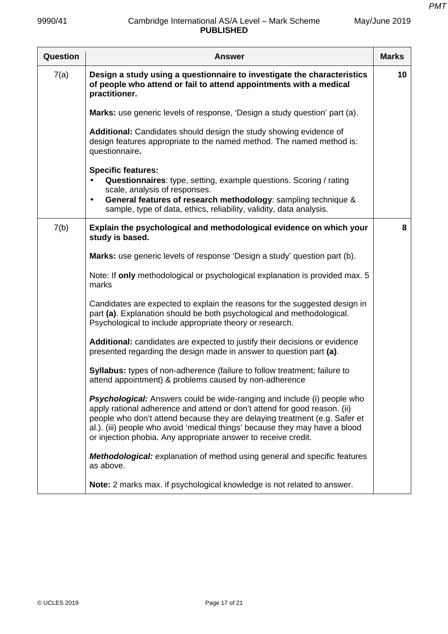| Question | <b>Answer</b>                                                                                                                                                                                                                                                                                                                                                                              | <b>Marks</b> |
|----------|--------------------------------------------------------------------------------------------------------------------------------------------------------------------------------------------------------------------------------------------------------------------------------------------------------------------------------------------------------------------------------------------|--------------|
| 7(a)     | Design a study using a questionnaire to investigate the characteristics<br>of people who attend or fail to attend appointments with a medical<br>practitioner.                                                                                                                                                                                                                             | 10           |
|          | Marks: use generic levels of response, 'Design a study question' part (a).                                                                                                                                                                                                                                                                                                                 |              |
|          | Additional: Candidates should design the study showing evidence of<br>design features appropriate to the named method. The named method is:<br>questionnaire.                                                                                                                                                                                                                              |              |
|          | <b>Specific features:</b><br>Questionnaires: type, setting, example questions. Scoring / rating<br>$\bullet$<br>scale, analysis of responses.<br>General features of research methodology: sampling technique &<br>$\bullet$<br>sample, type of data, ethics, reliability, validity, data analysis.                                                                                        |              |
| 7(b)     | Explain the psychological and methodological evidence on which your<br>study is based.                                                                                                                                                                                                                                                                                                     | 8            |
|          | Marks: use generic levels of response 'Design a study' question part (b).                                                                                                                                                                                                                                                                                                                  |              |
|          | Note: If only methodological or psychological explanation is provided max. 5<br>marks                                                                                                                                                                                                                                                                                                      |              |
|          | Candidates are expected to explain the reasons for the suggested design in<br>part (a). Explanation should be both psychological and methodological.<br>Psychological to include appropriate theory or research.                                                                                                                                                                           |              |
|          | Additional: candidates are expected to justify their decisions or evidence<br>presented regarding the design made in answer to question part (a).                                                                                                                                                                                                                                          |              |
|          | <b>Syllabus:</b> types of non-adherence (failure to follow treatment; failure to<br>attend appointment) & problems caused by non-adherence                                                                                                                                                                                                                                                 |              |
|          | <b>Psychological:</b> Answers could be wide-ranging and include (i) people who<br>apply rational adherence and attend or don't attend for good reason. (ii)<br>people who don't attend because they are delaying treatment (e.g. Safer et<br>al.). (iii) people who avoid 'medical things' because they may have a blood<br>or injection phobia. Any appropriate answer to receive credit. |              |
|          | <b>Methodological:</b> explanation of method using general and specific features<br>as above.                                                                                                                                                                                                                                                                                              |              |
|          | Note: 2 marks max. if psychological knowledge is not related to answer.                                                                                                                                                                                                                                                                                                                    |              |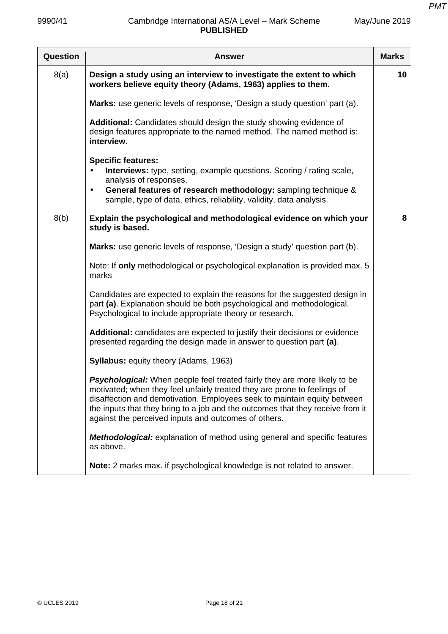# 9990/41 Cambridge International AS/A Level – Mark Scheme **PUBLISHED**

| Question | <b>Answer</b>                                                                                                                                                                                                                                                                                                                                                                      | <b>Marks</b> |
|----------|------------------------------------------------------------------------------------------------------------------------------------------------------------------------------------------------------------------------------------------------------------------------------------------------------------------------------------------------------------------------------------|--------------|
| 8(a)     | Design a study using an interview to investigate the extent to which<br>workers believe equity theory (Adams, 1963) applies to them.                                                                                                                                                                                                                                               | 10           |
|          | Marks: use generic levels of response, 'Design a study question' part (a).                                                                                                                                                                                                                                                                                                         |              |
|          | Additional: Candidates should design the study showing evidence of<br>design features appropriate to the named method. The named method is:<br>interview.                                                                                                                                                                                                                          |              |
|          | <b>Specific features:</b><br><b>Interviews:</b> type, setting, example questions. Scoring / rating scale,<br>analysis of responses.<br>General features of research methodology: sampling technique &<br>$\bullet$<br>sample, type of data, ethics, reliability, validity, data analysis.                                                                                          |              |
| 8(b)     | Explain the psychological and methodological evidence on which your                                                                                                                                                                                                                                                                                                                | 8            |
|          | study is based.                                                                                                                                                                                                                                                                                                                                                                    |              |
|          | Marks: use generic levels of response, 'Design a study' question part (b).                                                                                                                                                                                                                                                                                                         |              |
|          | Note: If only methodological or psychological explanation is provided max. 5<br>marks                                                                                                                                                                                                                                                                                              |              |
|          | Candidates are expected to explain the reasons for the suggested design in<br>part (a). Explanation should be both psychological and methodological.<br>Psychological to include appropriate theory or research.                                                                                                                                                                   |              |
|          | Additional: candidates are expected to justify their decisions or evidence<br>presented regarding the design made in answer to question part (a).                                                                                                                                                                                                                                  |              |
|          | <b>Syllabus: equity theory (Adams, 1963)</b>                                                                                                                                                                                                                                                                                                                                       |              |
|          | <b>Psychological:</b> When people feel treated fairly they are more likely to be<br>motivated; when they feel unfairly treated they are prone to feelings of<br>disaffection and demotivation. Employees seek to maintain equity between<br>the inputs that they bring to a job and the outcomes that they receive from it<br>against the perceived inputs and outcomes of others. |              |
|          | <b>Methodological:</b> explanation of method using general and specific features<br>as above.                                                                                                                                                                                                                                                                                      |              |
|          | Note: 2 marks max. if psychological knowledge is not related to answer.                                                                                                                                                                                                                                                                                                            |              |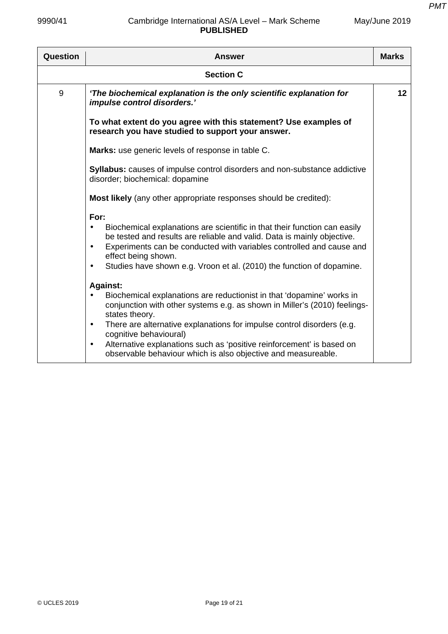| Question         | <b>Answer</b>                                                                                                                                                                                                                                                                                                                                                                                                                                                                                                                                                                                                                                                                                                                                                                                                                                  | <b>Marks</b> |
|------------------|------------------------------------------------------------------------------------------------------------------------------------------------------------------------------------------------------------------------------------------------------------------------------------------------------------------------------------------------------------------------------------------------------------------------------------------------------------------------------------------------------------------------------------------------------------------------------------------------------------------------------------------------------------------------------------------------------------------------------------------------------------------------------------------------------------------------------------------------|--------------|
| <b>Section C</b> |                                                                                                                                                                                                                                                                                                                                                                                                                                                                                                                                                                                                                                                                                                                                                                                                                                                |              |
| 9                | 'The biochemical explanation is the only scientific explanation for<br>impulse control disorders.'                                                                                                                                                                                                                                                                                                                                                                                                                                                                                                                                                                                                                                                                                                                                             | 12           |
|                  | To what extent do you agree with this statement? Use examples of<br>research you have studied to support your answer.                                                                                                                                                                                                                                                                                                                                                                                                                                                                                                                                                                                                                                                                                                                          |              |
|                  | Marks: use generic levels of response in table C.                                                                                                                                                                                                                                                                                                                                                                                                                                                                                                                                                                                                                                                                                                                                                                                              |              |
|                  | Syllabus: causes of impulse control disorders and non-substance addictive<br>disorder; biochemical: dopamine                                                                                                                                                                                                                                                                                                                                                                                                                                                                                                                                                                                                                                                                                                                                   |              |
|                  | Most likely (any other appropriate responses should be credited):                                                                                                                                                                                                                                                                                                                                                                                                                                                                                                                                                                                                                                                                                                                                                                              |              |
|                  | For:<br>Biochemical explanations are scientific in that their function can easily<br>$\bullet$<br>be tested and results are reliable and valid. Data is mainly objective.<br>Experiments can be conducted with variables controlled and cause and<br>$\bullet$<br>effect being shown.<br>Studies have shown e.g. Vroon et al. (2010) the function of dopamine.<br>$\bullet$<br><b>Against:</b><br>Biochemical explanations are reductionist in that 'dopamine' works in<br>conjunction with other systems e.g. as shown in Miller's (2010) feelings-<br>states theory.<br>There are alternative explanations for impulse control disorders (e.g.<br>$\bullet$<br>cognitive behavioural)<br>Alternative explanations such as 'positive reinforcement' is based on<br>$\bullet$<br>observable behaviour which is also objective and measureable. |              |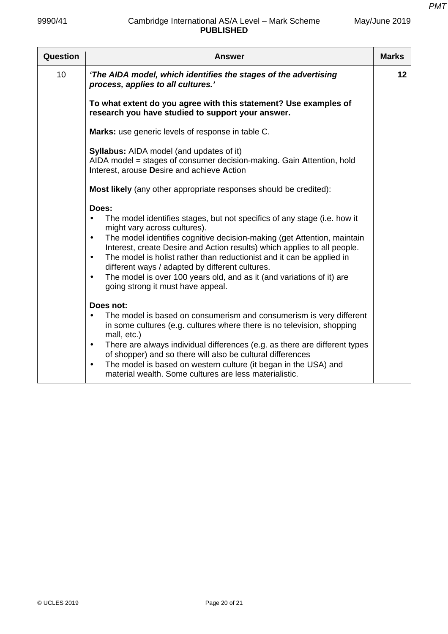| Question | Answer                                                                                                                                                                                                                                                                                                                                                                                                                                                                                                                                                                 | <b>Marks</b> |
|----------|------------------------------------------------------------------------------------------------------------------------------------------------------------------------------------------------------------------------------------------------------------------------------------------------------------------------------------------------------------------------------------------------------------------------------------------------------------------------------------------------------------------------------------------------------------------------|--------------|
| 10       | 'The AIDA model, which identifies the stages of the advertising<br>process, applies to all cultures.'                                                                                                                                                                                                                                                                                                                                                                                                                                                                  | 12           |
|          | To what extent do you agree with this statement? Use examples of<br>research you have studied to support your answer.                                                                                                                                                                                                                                                                                                                                                                                                                                                  |              |
|          | Marks: use generic levels of response in table C.                                                                                                                                                                                                                                                                                                                                                                                                                                                                                                                      |              |
|          | <b>Syllabus:</b> AIDA model (and updates of it)<br>AIDA model = stages of consumer decision-making. Gain Attention, hold<br>Interest, arouse Desire and achieve Action                                                                                                                                                                                                                                                                                                                                                                                                 |              |
|          | Most likely (any other appropriate responses should be credited):                                                                                                                                                                                                                                                                                                                                                                                                                                                                                                      |              |
|          | Does:<br>The model identifies stages, but not specifics of any stage (i.e. how it<br>$\bullet$<br>might vary across cultures).<br>The model identifies cognitive decision-making (get Attention, maintain<br>$\bullet$<br>Interest, create Desire and Action results) which applies to all people.<br>The model is holist rather than reductionist and it can be applied in<br>$\bullet$<br>different ways / adapted by different cultures.<br>The model is over 100 years old, and as it (and variations of it) are<br>$\bullet$<br>going strong it must have appeal. |              |
|          | Does not:                                                                                                                                                                                                                                                                                                                                                                                                                                                                                                                                                              |              |
|          | The model is based on consumerism and consumerism is very different<br>$\bullet$<br>in some cultures (e.g. cultures where there is no television, shopping<br>mall, etc.)                                                                                                                                                                                                                                                                                                                                                                                              |              |
|          | There are always individual differences (e.g. as there are different types<br>$\bullet$<br>of shopper) and so there will also be cultural differences                                                                                                                                                                                                                                                                                                                                                                                                                  |              |
|          | The model is based on western culture (it began in the USA) and<br>$\bullet$<br>material wealth. Some cultures are less materialistic.                                                                                                                                                                                                                                                                                                                                                                                                                                 |              |